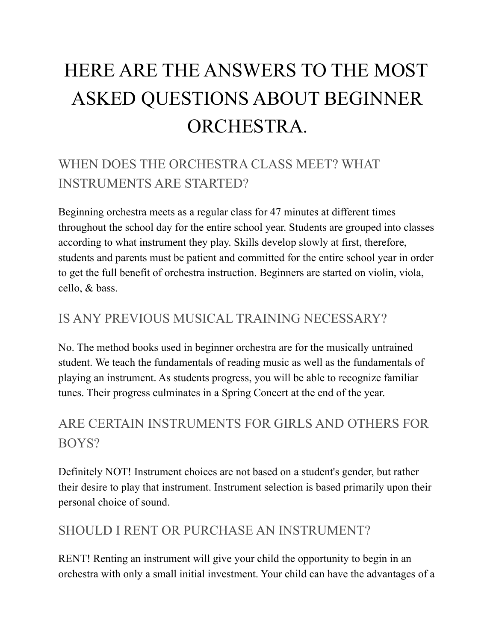# HERE ARE THE ANSWERS TO THE MOST ASKED QUESTIONS ABOUT BEGINNER ORCHESTRA.

# WHEN DOES THE ORCHESTRA CLASS MEET? WHAT INSTRUMENTS ARE STARTED?

Beginning orchestra meets as a regular class for 47 minutes at different times throughout the school day for the entire school year. Students are grouped into classes according to what instrument they play. Skills develop slowly at first, therefore, students and parents must be patient and committed for the entire school year in order to get the full benefit of orchestra instruction. Beginners are started on violin, viola, cello, & bass.

#### IS ANY PREVIOUS MUSICAL TRAINING NECESSARY?

No. The method books used in beginner orchestra are for the musically untrained student. We teach the fundamentals of reading music as well as the fundamentals of playing an instrument. As students progress, you will be able to recognize familiar tunes. Their progress culminates in a Spring Concert at the end of the year.

## ARE CERTAIN INSTRUMENTS FOR GIRLS AND OTHERS FOR BOYS?

Definitely NOT! Instrument choices are not based on a student's gender, but rather their desire to play that instrument. Instrument selection is based primarily upon their personal choice of sound.

#### SHOULD I RENT OR PURCHASE AN INSTRUMENT?

RENT! Renting an instrument will give your child the opportunity to begin in an orchestra with only a small initial investment. Your child can have the advantages of a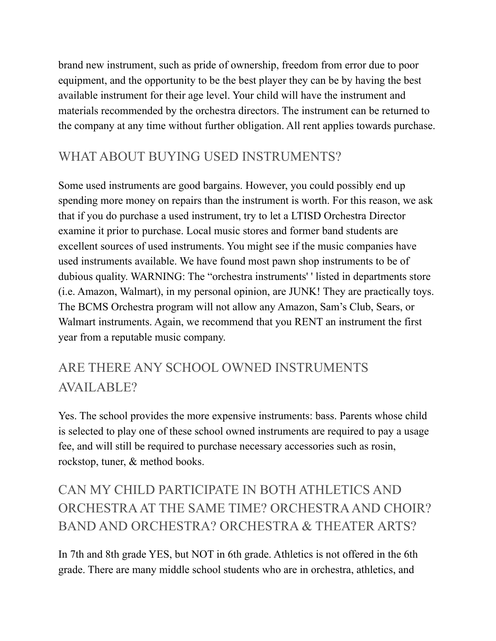brand new instrument, such as pride of ownership, freedom from error due to poor equipment, and the opportunity to be the best player they can be by having the best available instrument for their age level. Your child will have the instrument and materials recommended by the orchestra directors. The instrument can be returned to the company at any time without further obligation. All rent applies towards purchase.

#### WHAT ABOUT BUYING USED INSTRUMENTS?

Some used instruments are good bargains. However, you could possibly end up spending more money on repairs than the instrument is worth. For this reason, we ask that if you do purchase a used instrument, try to let a LTISD Orchestra Director examine it prior to purchase. Local music stores and former band students are excellent sources of used instruments. You might see if the music companies have used instruments available. We have found most pawn shop instruments to be of dubious quality. WARNING: The "orchestra instruments' ' listed in departments store (i.e. Amazon, Walmart), in my personal opinion, are JUNK! They are practically toys. The BCMS Orchestra program will not allow any Amazon, Sam's Club, Sears, or Walmart instruments. Again, we recommend that you RENT an instrument the first year from a reputable music company.

## ARE THERE ANY SCHOOL OWNED INSTRUMENTS AVAILABLE?

Yes. The school provides the more expensive instruments: bass. Parents whose child is selected to play one of these school owned instruments are required to pay a usage fee, and will still be required to purchase necessary accessories such as rosin, rockstop, tuner, & method books.

## CAN MY CHILD PARTICIPATE IN BOTH ATHLETICS AND ORCHESTRA AT THE SAME TIME? ORCHESTRA AND CHOIR? BAND AND ORCHESTRA? ORCHESTRA & THEATER ARTS?

In 7th and 8th grade YES, but NOT in 6th grade. Athletics is not offered in the 6th grade. There are many middle school students who are in orchestra, athletics, and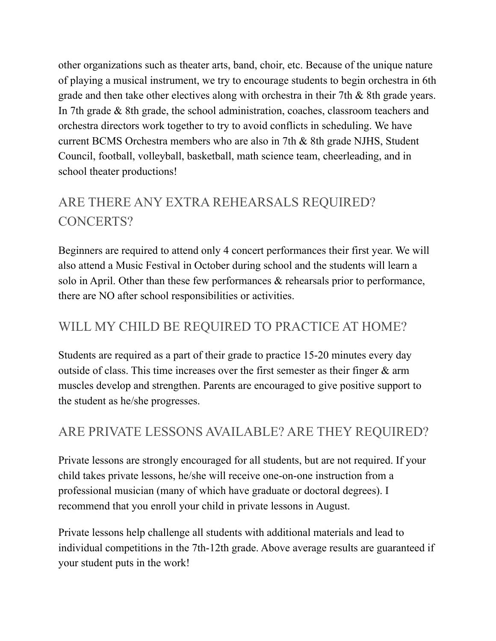other organizations such as theater arts, band, choir, etc. Because of the unique nature of playing a musical instrument, we try to encourage students to begin orchestra in 6th grade and then take other electives along with orchestra in their 7th & 8th grade years. In 7th grade & 8th grade, the school administration, coaches, classroom teachers and orchestra directors work together to try to avoid conflicts in scheduling. We have current BCMS Orchestra members who are also in 7th & 8th grade NJHS, Student Council, football, volleyball, basketball, math science team, cheerleading, and in school theater productions!

## ARE THERE ANY EXTRA REHEARSALS REQUIRED? CONCERTS?

Beginners are required to attend only 4 concert performances their first year. We will also attend a Music Festival in October during school and the students will learn a solo in April. Other than these few performances & rehearsals prior to performance, there are NO after school responsibilities or activities.

#### WILL MY CHILD BE REQUIRED TO PRACTICE AT HOME?

Students are required as a part of their grade to practice 15-20 minutes every day outside of class. This time increases over the first semester as their finger & arm muscles develop and strengthen. Parents are encouraged to give positive support to the student as he/she progresses.

#### ARE PRIVATE LESSONS AVAILABLE? ARE THEY REQUIRED?

Private lessons are strongly encouraged for all students, but are not required. If your child takes private lessons, he/she will receive one-on-one instruction from a professional musician (many of which have graduate or doctoral degrees). I recommend that you enroll your child in private lessons in August.

Private lessons help challenge all students with additional materials and lead to individual competitions in the 7th-12th grade. Above average results are guaranteed if your student puts in the work!